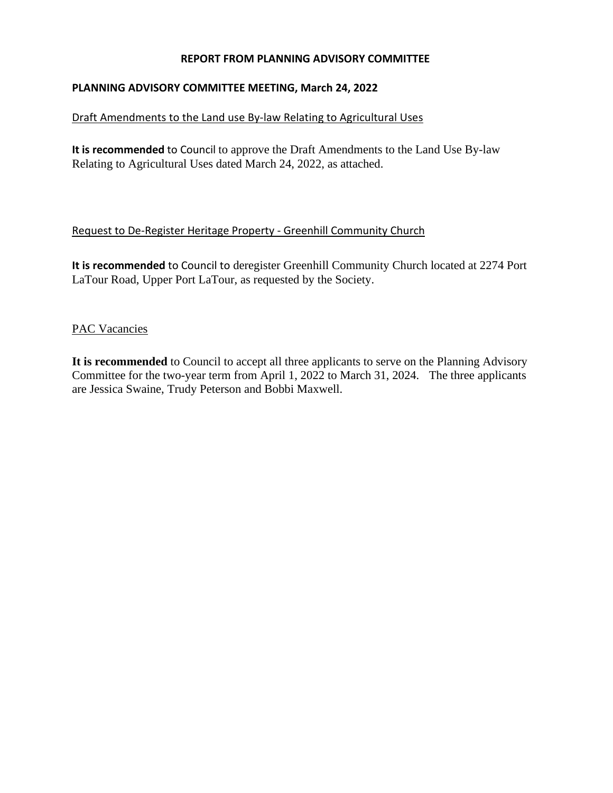### **REPORT FROM PLANNING ADVISORY COMMITTEE**

### **PLANNING ADVISORY COMMITTEE MEETING, March 24, 2022**

#### Draft Amendments to the Land use By-law Relating to Agricultural Uses

**It is recommended** to Council to approve the Draft Amendments to the Land Use By-law Relating to Agricultural Uses dated March 24, 2022, as attached.

#### Request to De-Register Heritage Property - Greenhill Community Church

**It is recommended** to Council to deregister Greenhill Community Church located at 2274 Port LaTour Road, Upper Port LaTour, as requested by the Society.

#### PAC Vacancies

**It is recommended** to Council to accept all three applicants to serve on the Planning Advisory Committee for the two-year term from April 1, 2022 to March 31, 2024. The three applicants are Jessica Swaine, Trudy Peterson and Bobbi Maxwell.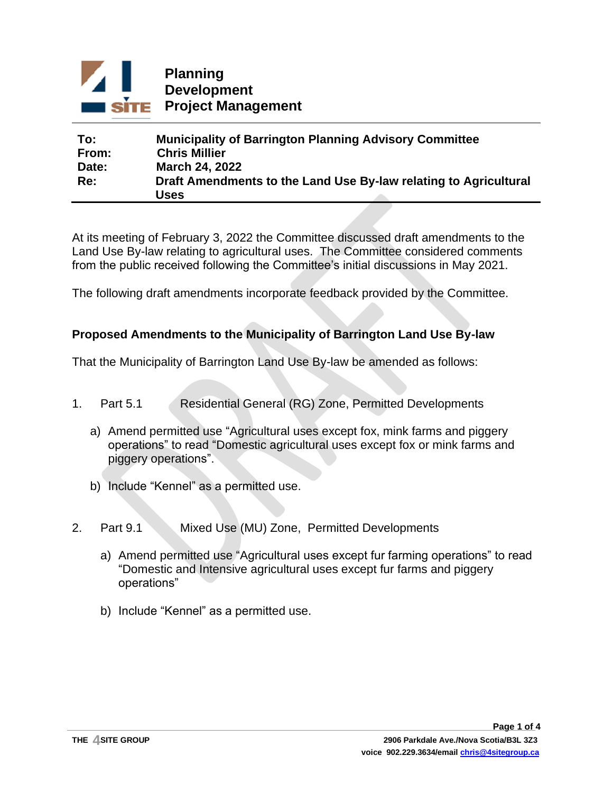

| To:   | <b>Municipality of Barrington Planning Advisory Committee</b>    |
|-------|------------------------------------------------------------------|
| From: | <b>Chris Millier</b>                                             |
| Date: | <b>March 24, 2022</b>                                            |
| Re:   | Draft Amendments to the Land Use By-law relating to Agricultural |
|       | Uses                                                             |

At its meeting of February 3, 2022 the Committee discussed draft amendments to the Land Use By-law relating to agricultural uses. The Committee considered comments from the public received following the Committee's initial discussions in May 2021.

The following draft amendments incorporate feedback provided by the Committee.

## **Proposed Amendments to the Municipality of Barrington Land Use By-law**

That the Municipality of Barrington Land Use By-law be amended as follows:

- 1. Part 5.1 Residential General (RG) Zone, Permitted Developments
	- a) Amend permitted use "Agricultural uses except fox, mink farms and piggery operations" to read "Domestic agricultural uses except fox or mink farms and piggery operations".
	- b) Include "Kennel" as a permitted use.
- 2. Part 9.1 Mixed Use (MU) Zone, Permitted Developments
	- a) Amend permitted use "Agricultural uses except fur farming operations" to read "Domestic and Intensive agricultural uses except fur farms and piggery operations"
	- b) Include "Kennel" as a permitted use.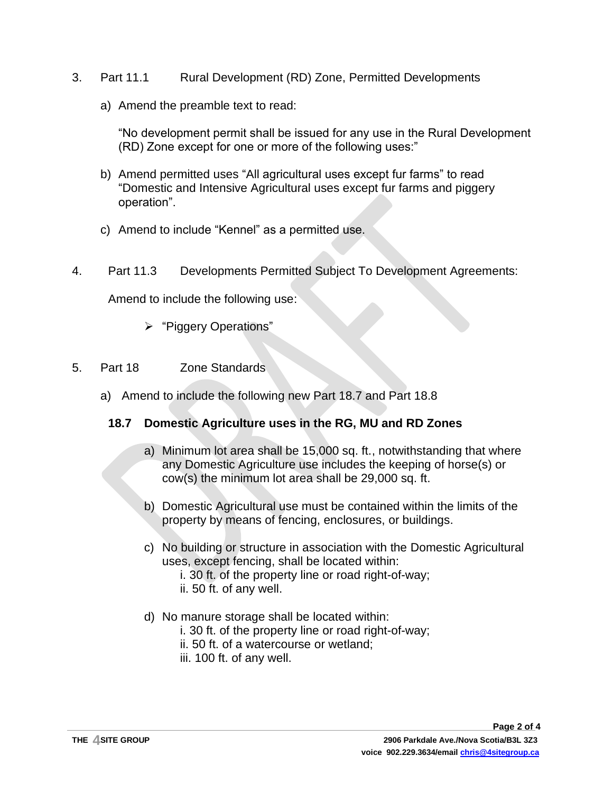- 3. Part 11.1 Rural Development (RD) Zone, Permitted Developments
	- a) Amend the preamble text to read:

"No development permit shall be issued for any use in the Rural Development (RD) Zone except for one or more of the following uses:"

- b) Amend permitted uses "All agricultural uses except fur farms" to read "Domestic and Intensive Agricultural uses except fur farms and piggery operation".
- c) Amend to include "Kennel" as a permitted use.
- 4. Part 11.3 Developments Permitted Subject To Development Agreements:

Amend to include the following use:

- ➢ "Piggery Operations"
- 5. Part 18 Zone Standards
	- a) Amend to include the following new Part 18.7 and Part 18.8

# **18.7 Domestic Agriculture uses in the RG, MU and RD Zones**

- a) Minimum lot area shall be 15,000 sq. ft., notwithstanding that where any Domestic Agriculture use includes the keeping of horse(s) or cow(s) the minimum lot area shall be 29,000 sq. ft.
- b) Domestic Agricultural use must be contained within the limits of the property by means of fencing, enclosures, or buildings.
- c) No building or structure in association with the Domestic Agricultural uses, except fencing, shall be located within:
	- i. 30 ft. of the property line or road right-of-way;
	- ii. 50 ft. of any well.
- d) No manure storage shall be located within:
	- i. 30 ft. of the property line or road right-of-way;
	- ii. 50 ft. of a watercourse or wetland;
	- iii. 100 ft. of any well.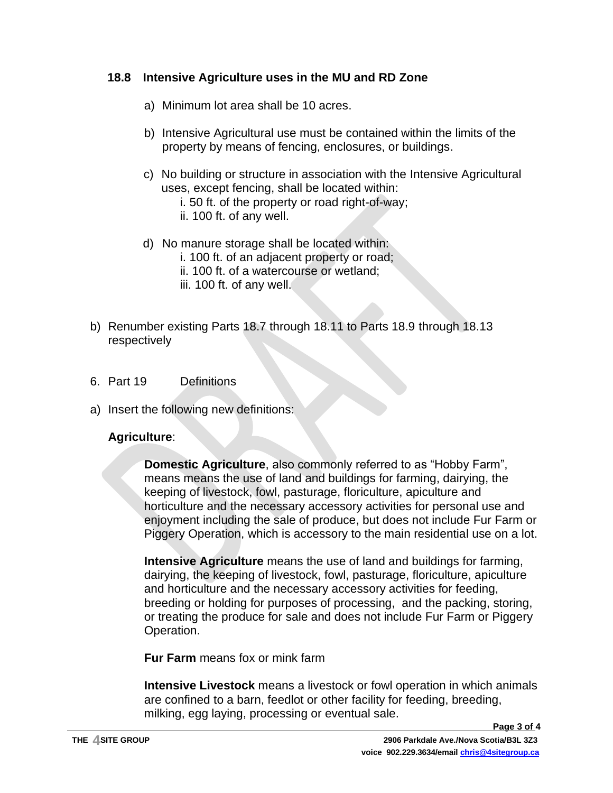# **18.8 Intensive Agriculture uses in the MU and RD Zone**

- a) Minimum lot area shall be 10 acres.
- b) Intensive Agricultural use must be contained within the limits of the property by means of fencing, enclosures, or buildings.
- c) No building or structure in association with the Intensive Agricultural uses, except fencing, shall be located within:
	- i. 50 ft. of the property or road right-of-way;
	- ii. 100 ft. of any well.
- d) No manure storage shall be located within:
	- i. 100 ft. of an adjacent property or road;
	- ii. 100 ft. of a watercourse or wetland;
	- iii. 100 ft. of any well.
- b) Renumber existing Parts 18.7 through 18.11 to Parts 18.9 through 18.13 respectively
- 6. Part 19 Definitions
- a) Insert the following new definitions:

### **Agriculture**:

**Domestic Agriculture**, also commonly referred to as "Hobby Farm", means means the use of land and buildings for farming, dairying, the keeping of livestock, fowl, pasturage, floriculture, apiculture and horticulture and the necessary accessory activities for personal use and enjoyment including the sale of produce, but does not include Fur Farm or Piggery Operation, which is accessory to the main residential use on a lot.

**Intensive Agriculture** means the use of land and buildings for farming, dairying, the keeping of livestock, fowl, pasturage, floriculture, apiculture and horticulture and the necessary accessory activities for feeding, breeding or holding for purposes of processing, and the packing, storing, or treating the produce for sale and does not include Fur Farm or Piggery Operation.

**Fur Farm** means fox or mink farm

**Intensive Livestock** means a livestock or fowl operation in which animals are confined to a barn, feedlot or other facility for feeding, breeding, milking, egg laying, processing or eventual sale.